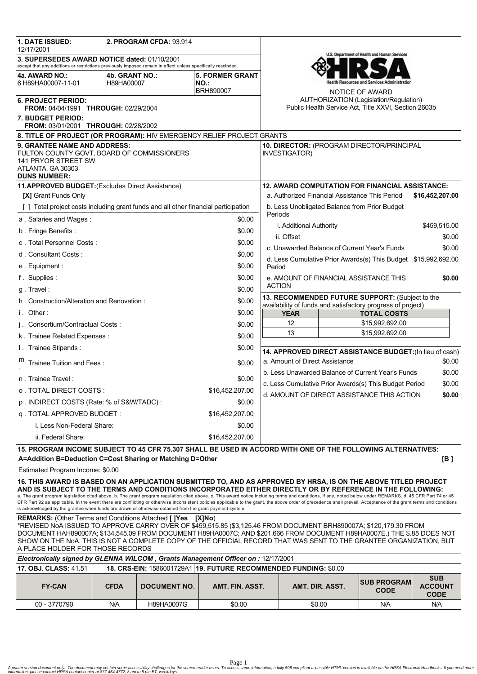| <b>1. DATE ISSUED:</b><br>12/17/2001                                                                                                                                                                                                                                                                                                                                                                                                                                                                                                                                                                                                                                                                                                                                          |                                                        | 2. PROGRAM CFDA: 93.914 |                                                        |                                                                                                                |                    |                                             |                                             |
|-------------------------------------------------------------------------------------------------------------------------------------------------------------------------------------------------------------------------------------------------------------------------------------------------------------------------------------------------------------------------------------------------------------------------------------------------------------------------------------------------------------------------------------------------------------------------------------------------------------------------------------------------------------------------------------------------------------------------------------------------------------------------------|--------------------------------------------------------|-------------------------|--------------------------------------------------------|----------------------------------------------------------------------------------------------------------------|--------------------|---------------------------------------------|---------------------------------------------|
| 3. SUPERSEDES AWARD NOTICE dated: 01/10/2001<br>except that any additions or restrictions previously imposed remain in effect unless specifically rescinded.                                                                                                                                                                                                                                                                                                                                                                                                                                                                                                                                                                                                                  |                                                        |                         |                                                        | U.S. Department of Health and Human Services                                                                   |                    |                                             |                                             |
| 4a. AWARD NO.:<br><b>5. FORMER GRANT</b><br>4b. GRANT NO.:                                                                                                                                                                                                                                                                                                                                                                                                                                                                                                                                                                                                                                                                                                                    |                                                        |                         |                                                        |                                                                                                                |                    |                                             |                                             |
| 6 H89HA00007-11-01                                                                                                                                                                                                                                                                                                                                                                                                                                                                                                                                                                                                                                                                                                                                                            | H89HA00007                                             |                         | <b>NO.:</b>                                            |                                                                                                                |                    | ealth Resources and Services Administration |                                             |
|                                                                                                                                                                                                                                                                                                                                                                                                                                                                                                                                                                                                                                                                                                                                                                               |                                                        |                         | BRH890007                                              |                                                                                                                |                    | NOTICE OF AWARD                             |                                             |
| 6. PROJECT PERIOD:<br>FROM: 04/04/1991 THROUGH: 02/29/2004                                                                                                                                                                                                                                                                                                                                                                                                                                                                                                                                                                                                                                                                                                                    |                                                        |                         |                                                        | <b>AUTHORIZATION (Legislation/Regulation)</b><br>Public Health Service Act, Title XXVI, Section 2603b          |                    |                                             |                                             |
| 7. BUDGET PERIOD:<br>FROM: 03/01/2001 THROUGH: 02/28/2002                                                                                                                                                                                                                                                                                                                                                                                                                                                                                                                                                                                                                                                                                                                     |                                                        |                         |                                                        |                                                                                                                |                    |                                             |                                             |
| 8. TITLE OF PROJECT (OR PROGRAM): HIV EMERGENCY RELIEF PROJECT GRANTS                                                                                                                                                                                                                                                                                                                                                                                                                                                                                                                                                                                                                                                                                                         |                                                        |                         |                                                        |                                                                                                                |                    |                                             |                                             |
| 9. GRANTEE NAME AND ADDRESS:<br>FULTON COUNTY GOVT, BOARD OF COMMISSIONERS<br>141 PRYOR STREET SW<br>ATLANTA, GA 30303<br><b>DUNS NUMBER:</b>                                                                                                                                                                                                                                                                                                                                                                                                                                                                                                                                                                                                                                 |                                                        |                         |                                                        | 10. DIRECTOR: (PROGRAM DIRECTOR/PRINCIPAL<br><b>INVESTIGATOR)</b>                                              |                    |                                             |                                             |
| 11.APPROVED BUDGET: (Excludes Direct Assistance)                                                                                                                                                                                                                                                                                                                                                                                                                                                                                                                                                                                                                                                                                                                              | <b>12. AWARD COMPUTATION FOR FINANCIAL ASSISTANCE:</b> |                         |                                                        |                                                                                                                |                    |                                             |                                             |
| [X] Grant Funds Only                                                                                                                                                                                                                                                                                                                                                                                                                                                                                                                                                                                                                                                                                                                                                          |                                                        |                         |                                                        | a. Authorized Financial Assistance This Period<br>\$16,452,207.00                                              |                    |                                             |                                             |
| [] Total project costs including grant funds and all other financial participation                                                                                                                                                                                                                                                                                                                                                                                                                                                                                                                                                                                                                                                                                            |                                                        |                         |                                                        | b. Less Unobligated Balance from Prior Budget<br>Periods                                                       |                    |                                             |                                             |
| a. Salaries and Wages:<br>\$0.00                                                                                                                                                                                                                                                                                                                                                                                                                                                                                                                                                                                                                                                                                                                                              |                                                        |                         |                                                        |                                                                                                                |                    |                                             |                                             |
| b. Fringe Benefits:                                                                                                                                                                                                                                                                                                                                                                                                                                                                                                                                                                                                                                                                                                                                                           |                                                        |                         | \$0.00                                                 | i. Additional Authority<br>\$459,515.00                                                                        |                    |                                             |                                             |
| c. Total Personnel Costs:<br>\$0.00                                                                                                                                                                                                                                                                                                                                                                                                                                                                                                                                                                                                                                                                                                                                           |                                                        |                         | ii. Offset<br>\$0.00                                   |                                                                                                                |                    |                                             |                                             |
| d. Consultant Costs:<br>\$0.00                                                                                                                                                                                                                                                                                                                                                                                                                                                                                                                                                                                                                                                                                                                                                |                                                        |                         | c. Unawarded Balance of Current Year's Funds<br>\$0.00 |                                                                                                                |                    |                                             |                                             |
| e. Equipment:<br>\$0.00                                                                                                                                                                                                                                                                                                                                                                                                                                                                                                                                                                                                                                                                                                                                                       |                                                        |                         |                                                        | d. Less Cumulative Prior Awards(s) This Budget \$15,992,692.00<br>Period                                       |                    |                                             |                                             |
| f. Supplies:                                                                                                                                                                                                                                                                                                                                                                                                                                                                                                                                                                                                                                                                                                                                                                  |                                                        |                         | \$0.00                                                 | e. AMOUNT OF FINANCIAL ASSISTANCE THIS<br>\$0.00                                                               |                    |                                             |                                             |
| \$0.00<br>g. Travel:                                                                                                                                                                                                                                                                                                                                                                                                                                                                                                                                                                                                                                                                                                                                                          |                                                        |                         |                                                        | <b>ACTION</b>                                                                                                  |                    |                                             |                                             |
| \$0.00<br>h. Construction/Alteration and Renovation:                                                                                                                                                                                                                                                                                                                                                                                                                                                                                                                                                                                                                                                                                                                          |                                                        |                         |                                                        | 13. RECOMMENDED FUTURE SUPPORT: (Subject to the<br>availability of funds and satisfactory progress of project) |                    |                                             |                                             |
| i. Other:<br>\$0.00                                                                                                                                                                                                                                                                                                                                                                                                                                                                                                                                                                                                                                                                                                                                                           |                                                        |                         | <b>YEAR</b>                                            |                                                                                                                | <b>TOTAL COSTS</b> |                                             |                                             |
| j. Consortium/Contractual Costs:                                                                                                                                                                                                                                                                                                                                                                                                                                                                                                                                                                                                                                                                                                                                              |                                                        |                         | \$0.00                                                 | 12<br>\$15,992,692.00                                                                                          |                    |                                             |                                             |
| k. Trainee Related Expenses:                                                                                                                                                                                                                                                                                                                                                                                                                                                                                                                                                                                                                                                                                                                                                  |                                                        |                         | \$0.00                                                 | 13<br>\$15,992,692.00                                                                                          |                    |                                             |                                             |
| \$0.00                                                                                                                                                                                                                                                                                                                                                                                                                                                                                                                                                                                                                                                                                                                                                                        |                                                        |                         |                                                        |                                                                                                                |                    |                                             |                                             |
| I. Trainee Stipends:                                                                                                                                                                                                                                                                                                                                                                                                                                                                                                                                                                                                                                                                                                                                                          |                                                        |                         |                                                        | 14. APPROVED DIRECT ASSISTANCE BUDGET: (In lieu of cash)                                                       |                    |                                             |                                             |
| Trainee Tuition and Fees:                                                                                                                                                                                                                                                                                                                                                                                                                                                                                                                                                                                                                                                                                                                                                     |                                                        |                         | \$0.00                                                 | a. Amount of Direct Assistance<br>\$0.00                                                                       |                    |                                             |                                             |
| n. Trainee Travel:                                                                                                                                                                                                                                                                                                                                                                                                                                                                                                                                                                                                                                                                                                                                                            |                                                        |                         | \$0.00                                                 | b. Less Unawarded Balance of Current Year's Funds<br>\$0.00                                                    |                    |                                             |                                             |
| o . TOTAL DIRECT COSTS :                                                                                                                                                                                                                                                                                                                                                                                                                                                                                                                                                                                                                                                                                                                                                      |                                                        |                         | \$16,452,207.00                                        | c. Less Cumulative Prior Awards(s) This Budget Period<br>\$0.00<br>d. AMOUNT OF DIRECT ASSISTANCE THIS ACTION  |                    |                                             |                                             |
| p. INDIRECT COSTS (Rate: % of S&W/TADC):<br>\$0.00                                                                                                                                                                                                                                                                                                                                                                                                                                                                                                                                                                                                                                                                                                                            |                                                        |                         |                                                        |                                                                                                                |                    |                                             | \$0.00                                      |
| q. TOTAL APPROVED BUDGET:                                                                                                                                                                                                                                                                                                                                                                                                                                                                                                                                                                                                                                                                                                                                                     |                                                        |                         | \$16,452,207.00                                        |                                                                                                                |                    |                                             |                                             |
| i. Less Non-Federal Share:                                                                                                                                                                                                                                                                                                                                                                                                                                                                                                                                                                                                                                                                                                                                                    |                                                        | \$0.00                  |                                                        |                                                                                                                |                    |                                             |                                             |
| ii. Federal Share:<br>\$16,452,207.00                                                                                                                                                                                                                                                                                                                                                                                                                                                                                                                                                                                                                                                                                                                                         |                                                        |                         |                                                        |                                                                                                                |                    |                                             |                                             |
| 15. PROGRAM INCOME SUBJECT TO 45 CFR 75.307 SHALL BE USED IN ACCORD WITH ONE OF THE FOLLOWING ALTERNATIVES:                                                                                                                                                                                                                                                                                                                                                                                                                                                                                                                                                                                                                                                                   |                                                        |                         |                                                        |                                                                                                                |                    |                                             |                                             |
| A=Addition B=Deduction C=Cost Sharing or Matching D=Other<br>[B]                                                                                                                                                                                                                                                                                                                                                                                                                                                                                                                                                                                                                                                                                                              |                                                        |                         |                                                        |                                                                                                                |                    |                                             |                                             |
| Estimated Program Income: \$0.00                                                                                                                                                                                                                                                                                                                                                                                                                                                                                                                                                                                                                                                                                                                                              |                                                        |                         |                                                        |                                                                                                                |                    |                                             |                                             |
| 16. THIS AWARD IS BASED ON AN APPLICATION SUBMITTED TO, AND AS APPROVED BY HRSA, IS ON THE ABOVE TITLED PROJECT<br>AND IS SUBJECT TO THE TERMS AND CONDITIONS INCORPORATED EITHER DIRECTLY OR BY REFERENCE IN THE FOLLOWING:<br>a. The grant program legislation cited above. b. The grant program regulation cited above. c. This award notice including terms and conditions, if any, noted below under REMARKS. d. 45 CFR Part 74 or 45<br>CFR Part 92 as applicable. In the event there are conflicting or otherwise inconsistent policies applicable to the grant, the above order of precedence shall prevail. Acceptance of the grant terms and conditions<br>is acknowledged by the grantee when funds are drawn or otherwise obtained from the grant payment system. |                                                        |                         |                                                        |                                                                                                                |                    |                                             |                                             |
| <b>REMARKS:</b> (Other Terms and Conditions Attached [ ]Yes [X]No)                                                                                                                                                                                                                                                                                                                                                                                                                                                                                                                                                                                                                                                                                                            |                                                        |                         |                                                        |                                                                                                                |                    |                                             |                                             |
| *REVISED NoA ISSUED TO APPROVE CARRY OVER OF \$459,515.85 (\$3,125.46 FROM DOCUMENT BRH890007A; \$120,179.30 FROM<br>DOCUMENT HAH890007A; \$134,545.09 FROM DOCUMENT H89HA0007C; AND \$201,666 FROM DOCUMENT H89HA0007E.) THE \$.85 DOES NOT<br>SHOW ON THE N0A. THIS IS NOT A COMPLETE COPY OF THE OFFICIAL RECORD THAT WAS SENT TO THE GRANTEE ORGANIZATION, BUT<br>A PLACE HOLDER FOR THOSE RECORDS                                                                                                                                                                                                                                                                                                                                                                        |                                                        |                         |                                                        |                                                                                                                |                    |                                             |                                             |
| Electronically signed by GLENNA WILCOM, Grants Management Officer on : 12/17/2001                                                                                                                                                                                                                                                                                                                                                                                                                                                                                                                                                                                                                                                                                             |                                                        |                         |                                                        |                                                                                                                |                    |                                             |                                             |
| 18. CRS-EIN: 1586001729A1 19. FUTURE RECOMMENDED FUNDING: \$0.00<br>17. OBJ. CLASS: 41.51                                                                                                                                                                                                                                                                                                                                                                                                                                                                                                                                                                                                                                                                                     |                                                        |                         |                                                        |                                                                                                                |                    |                                             |                                             |
| <b>FY-CAN</b>                                                                                                                                                                                                                                                                                                                                                                                                                                                                                                                                                                                                                                                                                                                                                                 | <b>CFDA</b>                                            | <b>DOCUMENT NO.</b>     | AMT. FIN. ASST.                                        |                                                                                                                | AMT. DIR. ASST.    | <b>SUB PROGRAM</b><br><b>CODE</b>           | <b>SUB</b><br><b>ACCOUNT</b><br><b>CODE</b> |
| 00 - 3770790                                                                                                                                                                                                                                                                                                                                                                                                                                                                                                                                                                                                                                                                                                                                                                  | N/A                                                    | H89HA0007G              | \$0.00                                                 |                                                                                                                | \$0.00             | N/A                                         | N/A                                         |